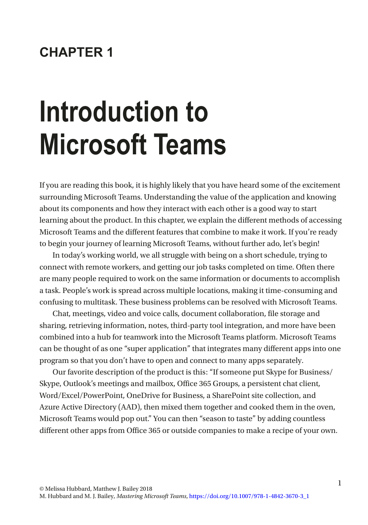#### **CHAPTER 1**

# **Introduction to Microsoft Teams**

If you are reading this book, it is highly likely that you have heard some of the excitement surrounding Microsoft Teams. Understanding the value of the application and knowing about its components and how they interact with each other is a good way to start learning about the product. In this chapter, we explain the different methods of accessing Microsoft Teams and the different features that combine to make it work. If you're ready to begin your journey of learning Microsoft Teams, without further ado, let's begin!

In today's working world, we all struggle with being on a short schedule, trying to connect with remote workers, and getting our job tasks completed on time. Often there are many people required to work on the same information or documents to accomplish a task. People's work is spread across multiple locations, making it time-consuming and confusing to multitask. These business problems can be resolved with Microsoft Teams.

Chat, meetings, video and voice calls, document collaboration, file storage and sharing, retrieving information, notes, third-party tool integration, and more have been combined into a hub for teamwork into the Microsoft Teams platform. Microsoft Teams can be thought of as one "super application" that integrates many different apps into one program so that you don't have to open and connect to many apps separately.

Our favorite description of the product is this: "If someone put Skype for Business/ Skype, Outlook's meetings and mailbox, Office 365 Groups, a persistent chat client, Word/Excel/PowerPoint, OneDrive for Business, a SharePoint site collection, and Azure Active Directory (AAD), then mixed them together and cooked them in the oven, Microsoft Teams would pop out." You can then "season to taste" by adding countless different other apps from Office 365 or outside companies to make a recipe of your own.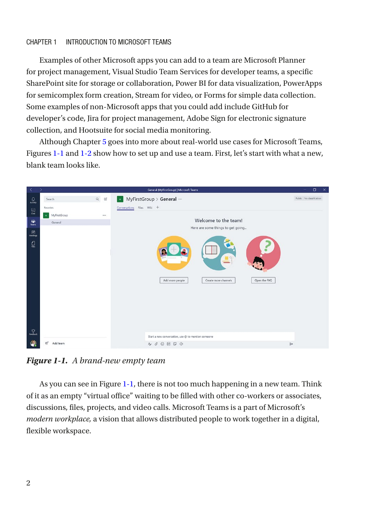#### Chapter 1 Introduction to Microsoft Teams

Examples of other Microsoft apps you can add to a team are Microsoft Planner for project management, Visual Studio Team Services for developer teams, a specific SharePoint site for storage or collaboration, Power BI for data visualization, PowerApps for semicomplex form creation, Stream for video, or Forms for simple data collection. Some examples of non-Microsoft apps that you could add include GitHub for developer's code, Jira for project management, Adobe Sign for electronic signature collection, and Hootsuite for social media monitoring.

Although Chapter [5](https://doi.org/10.1007/978-1-4842-3670-3_5) goes into more about real-world use cases for Microsoft Teams, Figures [1-1](#page-1-0) and [1-2](#page-2-0) show how to set up and use a team. First, let's start with what a new, blank team looks like.

<span id="page-1-0"></span>

*Figure 1-1. A brand-new empty team*

As you can see in Figure [1-1](#page-1-0), there is not too much happening in a new team. Think of it as an empty "virtual office" waiting to be filled with other co-workers or associates, discussions, files, projects, and video calls. Microsoft Teams is a part of Microsoft's *modern workplace,* a vision that allows distributed people to work together in a digital, flexible workspace.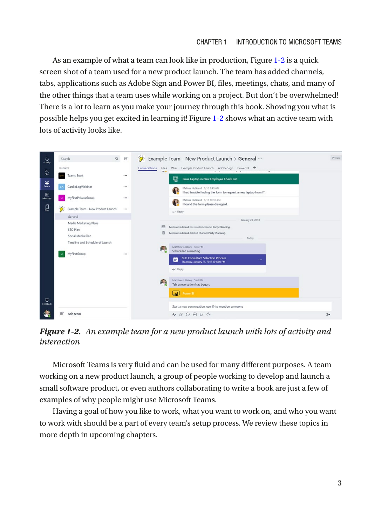As an example of what a team can look like in production, Figure [1-2](#page-2-0) is a quick screen shot of a team used for a new product launch. The team has added channels, tabs, applications such as Adobe Sign and Power BI, files, meetings, chats, and many of the other things that a team uses while working on a project. But don't be overwhelmed! There is a lot to learn as you make your journey through this book. Showing you what is possible helps you get excited in learning it! Figure [1-2](#page-2-0) shows what an active team with lots of activity looks like.

<span id="page-2-0"></span>

*Figure 1-2. An example team for a new product launch with lots of activity and interaction*

Microsoft Teams is very fluid and can be used for many different purposes. A team working on a new product launch, a group of people working to develop and launch a small software product, or even authors collaborating to write a book are just a few of examples of why people might use Microsoft Teams.

Having a goal of how you like to work, what you want to work on, and who you want to work with should be a part of every team's setup process. We review these topics in more depth in upcoming chapters.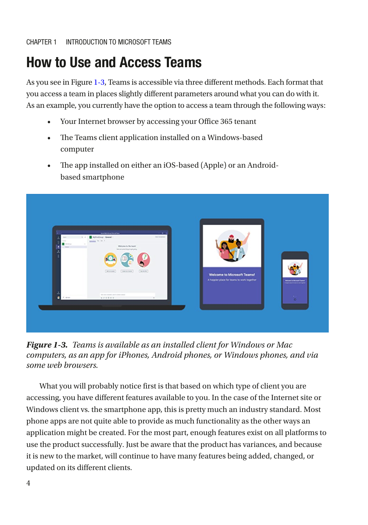# How to Use and Access Teams

As you see in Figure [1-3](#page-3-0), Teams is accessible via three different methods. Each format that you access a team in places slightly different parameters around what you can do with it. As an example, you currently have the option to access a team through the following ways:

- Your Internet browser by accessing your Office 365 tenant
- The Teams client application installed on a Windows-based computer
- The app installed on either an iOS-based (Apple) or an Androidbased smartphone

<span id="page-3-0"></span>

*Figure 1-3. Teams is available as an installed client for Windows or Mac computers, as an app for iPhones, Android phones, or Windows phones, and via some web browsers.*

What you will probably notice first is that based on which type of client you are accessing, you have different features available to you. In the case of the Internet site or Windows client vs. the smartphone app, this is pretty much an industry standard. Most phone apps are not quite able to provide as much functionality as the other ways an application might be created. For the most part, enough features exist on all platforms to use the product successfully. Just be aware that the product has variances, and because it is new to the market, will continue to have many features being added, changed, or updated on its different clients.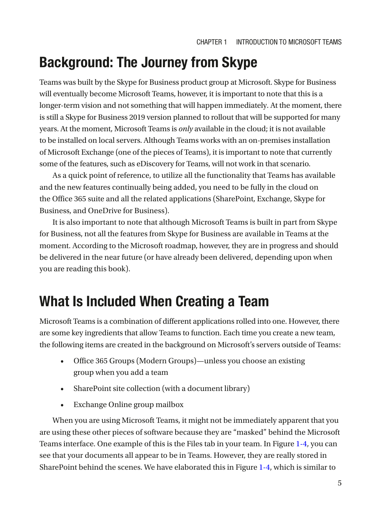# Background: The Journey from Skype

Teams was built by the Skype for Business product group at Microsoft. Skype for Business will eventually become Microsoft Teams, however, it is important to note that this is a longer-term vision and not something that will happen immediately. At the moment, there is still a Skype for Business 2019 version planned to rollout that will be supported for many years. At the moment, Microsoft Teams is *only* available in the cloud; it is not available to be installed on local servers. Although Teams works with an on-premises installation of Microsoft Exchange (one of the pieces of Teams), it is important to note that currently some of the features, such as eDiscovery for Teams, will not work in that scenario.

As a quick point of reference, to utilize all the functionality that Teams has available and the new features continually being added, you need to be fully in the cloud on the Office 365 suite and all the related applications (SharePoint, Exchange, Skype for Business, and OneDrive for Business).

It is also important to note that although Microsoft Teams is built in part from Skype for Business, not all the features from Skype for Business are available in Teams at the moment. According to the Microsoft roadmap, however, they are in progress and should be delivered in the near future (or have already been delivered, depending upon when you are reading this book).

# What Is Included When Creating a Team

Microsoft Teams is a combination of different applications rolled into one. However, there are some key ingredients that allow Teams to function. Each time you create a new team, the following items are created in the background on Microsoft's servers outside of Teams:

- Office 365 Groups (Modern Groups)—unless you choose an existing group when you add a team
- SharePoint site collection (with a document library)
- Exchange Online group mailbox

When you are using Microsoft Teams, it might not be immediately apparent that you are using these other pieces of software because they are "masked" behind the Microsoft Teams interface. One example of this is the Files tab in your team. In Figure [1-4](#page-5-0), you can see that your documents all appear to be in Teams. However, they are really stored in SharePoint behind the scenes. We have elaborated this in Figure [1-4,](#page-5-0) which is similar to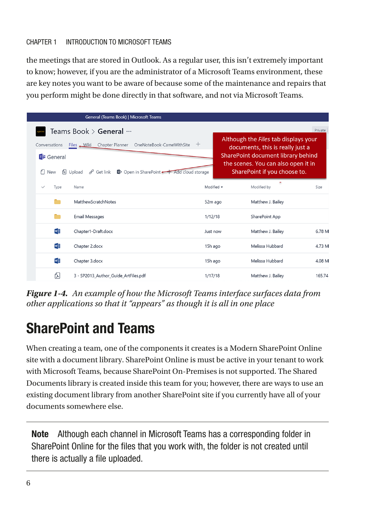#### Chapter 1 Introduction to Microsoft Teams

the meetings that are stored in Outlook. As a regular user, this isn't extremely important to know; however, if you are the administrator of a Microsoft Teams environment, these are key notes you want to be aware of because some of the maintenance and repairs that you perform might be done directly in that software, and not via Microsoft Teams.

<span id="page-5-0"></span>

|                                                | General (Teams Book)   Microsoft Teams                                                                                                                                         |                                                                  |                                                                                                                   |         |
|------------------------------------------------|--------------------------------------------------------------------------------------------------------------------------------------------------------------------------------|------------------------------------------------------------------|-------------------------------------------------------------------------------------------------------------------|---------|
|                                                | Teams Book > General …                                                                                                                                                         |                                                                  |                                                                                                                   | Private |
| Conversations<br><b>Di</b> General<br>€<br>New | OneNoteBook-CameWithSite<br>Chapter Planner<br>Files Wiki<br>$\sigma^{\!{\scriptscriptstyle O}}$ Get link<br>D Open in SharePoint - Add cloud storage<br>P <sub>1</sub> Upload | documents, this is really just a<br>SharePoint if you choose to. | Although the Files tab displays your<br>SharePoint document library behind<br>the scenes. You can also open it in |         |
| Type<br>$\checkmark$                           | Name                                                                                                                                                                           | Modified v                                                       | ٠<br>Modified by                                                                                                  | Size    |
|                                                | MatthewScratchNotes                                                                                                                                                            | 52m ago                                                          | Matthew J. Bailey                                                                                                 |         |
|                                                | <b>Email Messages</b>                                                                                                                                                          | 1/12/18                                                          | SharePoint App                                                                                                    |         |
| w                                              | Chapter1-Draft.docx                                                                                                                                                            | Just now                                                         | Matthew J. Bailey                                                                                                 | 6.78 M  |
| w                                              | Chapter 2.docx                                                                                                                                                                 | 15h ago                                                          | Melissa Hubbard                                                                                                   | 4.73 M  |
| w                                              | Chapter 3.docx                                                                                                                                                                 | 15h ago                                                          | Melissa Hubbard                                                                                                   | 4.08 M  |
| 仭                                              | 3 - SP2013 Author Guide ArtFiles.pdf                                                                                                                                           | 1/17/18                                                          | Matthew J. Bailey                                                                                                 | 165.74  |

*Figure 1-4. An example of how the Microsoft Teams interface surfaces data from other applications so that it "appears" as though it is all in one place*

# SharePoint and Teams

When creating a team, one of the components it creates is a Modern SharePoint Online site with a document library. SharePoint Online is must be active in your tenant to work with Microsoft Teams, because SharePoint On-Premises is not supported. The Shared Documents library is created inside this team for you; however, there are ways to use an existing document library from another SharePoint site if you currently have all of your documents somewhere else.

Note Although each channel in Microsoft Teams has a corresponding folder in SharePoint Online for the files that you work with, the folder is not created until there is actually a file uploaded.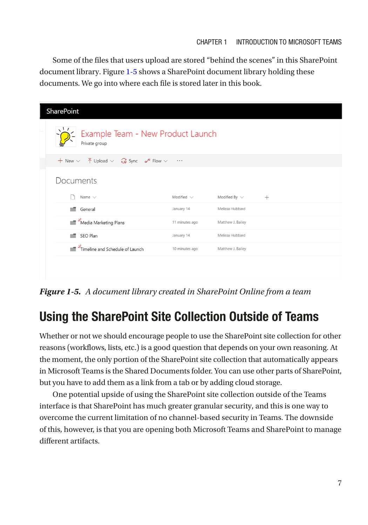Some of the files that users upload are stored "behind the scenes" in this SharePoint document library. Figure [1-5](#page-6-0) shows a SharePoint document library holding these documents. We go into where each file is stored later in this book.

<span id="page-6-0"></span>

| <b>SharePoint</b>                                                                                                                      |                 |                    |        |  |  |
|----------------------------------------------------------------------------------------------------------------------------------------|-----------------|--------------------|--------|--|--|
| Example Team - New Product Launch<br>Private group                                                                                     |                 |                    |        |  |  |
| + New $\vee$ $\overline{\uparrow}$ Upload $\vee$ $\overline{\smash{\bigoplus}}$ Sync $\mathsf{o}$ <sup>o</sup> Flow $\vee$<br>$\cdots$ |                 |                    |        |  |  |
| Documents                                                                                                                              |                 |                    |        |  |  |
| Name $\vee$                                                                                                                            | Modified $\vee$ | Modified By $\vee$ | $^{+}$ |  |  |
| General                                                                                                                                | January 14      | Melissa Hubbard    |        |  |  |
| Media Marketing Plans                                                                                                                  | 11 minutes ago  | Matthew J. Bailey  |        |  |  |
| SEO Plan                                                                                                                               | January 14      | Melissa Hubbard    |        |  |  |
| Timeline and Schedule of Launch                                                                                                        | 10 minutes ago  | Matthew J. Bailey  |        |  |  |
|                                                                                                                                        |                 |                    |        |  |  |
|                                                                                                                                        |                 |                    |        |  |  |

*Figure 1-5. A document library created in SharePoint Online from a team*

## Using the SharePoint Site Collection Outside of Teams

Whether or not we should encourage people to use the SharePoint site collection for other reasons (workflows, lists, etc.) is a good question that depends on your own reasoning. At the moment, the only portion of the SharePoint site collection that automatically appears in Microsoft Teams is the Shared Documents folder. You can use other parts of SharePoint, but you have to add them as a link from a tab or by adding cloud storage.

One potential upside of using the SharePoint site collection outside of the Teams interface is that SharePoint has much greater granular security, and this is one way to overcome the current limitation of no channel-based security in Teams. The downside of this, however, is that you are opening both Microsoft Teams and SharePoint to manage different artifacts.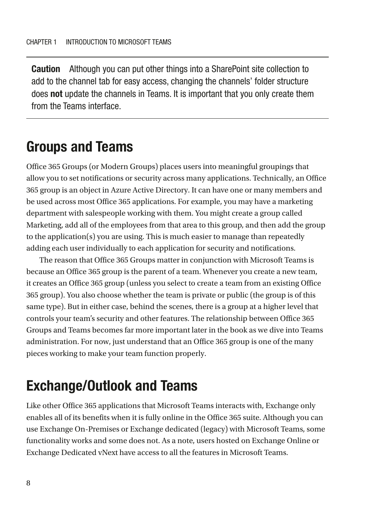Caution Although you can put other things into a SharePoint site collection to add to the channel tab for easy access, changing the channels' folder structure does **not** update the channels in Teams. It is important that you only create them from the Teams interface.

## Groups and Teams

Office 365 Groups (or Modern Groups) places users into meaningful groupings that allow you to set notifications or security across many applications. Technically, an Office 365 group is an object in Azure Active Directory. It can have one or many members and be used across most Office 365 applications. For example, you may have a marketing department with salespeople working with them. You might create a group called Marketing, add all of the employees from that area to this group, and then add the group to the application(s) you are using. This is much easier to manage than repeatedly adding each user individually to each application for security and notifications.

The reason that Office 365 Groups matter in conjunction with Microsoft Teams is because an Office 365 group is the parent of a team. Whenever you create a new team, it creates an Office 365 group (unless you select to create a team from an existing Office 365 group). You also choose whether the team is private or public (the group is of this same type). But in either case, behind the scenes, there is a group at a higher level that controls your team's security and other features. The relationship between Office 365 Groups and Teams becomes far more important later in the book as we dive into Teams administration. For now, just understand that an Office 365 group is one of the many pieces working to make your team function properly.

# Exchange/Outlook and Teams

Like other Office 365 applications that Microsoft Teams interacts with, Exchange only enables all of its benefits when it is fully online in the Office 365 suite. Although you can use Exchange On-Premises or Exchange dedicated (legacy) with Microsoft Teams, some functionality works and some does not. As a note, users hosted on Exchange Online or Exchange Dedicated vNext have access to all the features in Microsoft Teams.